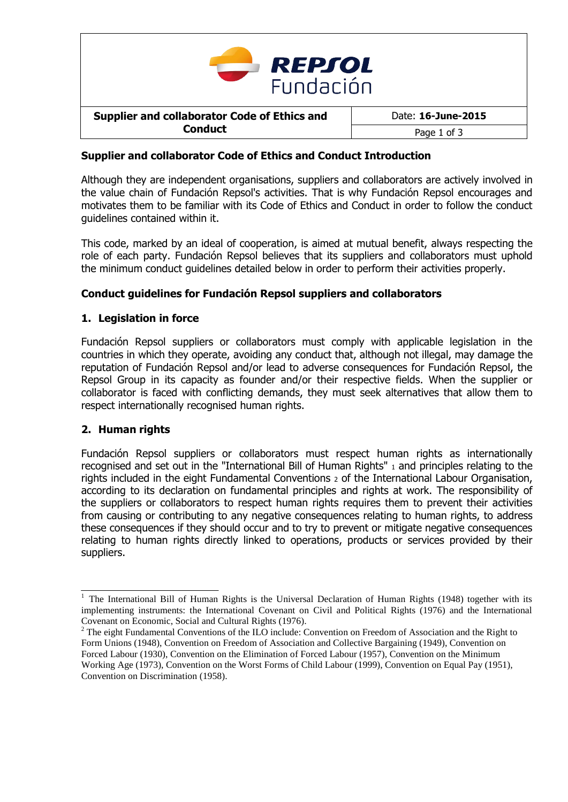

# **Supplier and collaborator Code of Ethics and Conduct Introduction**

Although they are independent organisations, suppliers and collaborators are actively involved in the value chain of Fundación Repsol's activities. That is why Fundación Repsol encourages and motivates them to be familiar with its Code of Ethics and Conduct in order to follow the conduct guidelines contained within it.

This code, marked by an ideal of cooperation, is aimed at mutual benefit, always respecting the role of each party. Fundación Repsol believes that its suppliers and collaborators must uphold the minimum conduct guidelines detailed below in order to perform their activities properly.

# **Conduct guidelines for Fundación Repsol suppliers and collaborators**

# **1. Legislation in force**

Fundación Repsol suppliers or collaborators must comply with applicable legislation in the countries in which they operate, avoiding any conduct that, although not illegal, may damage the reputation of Fundación Repsol and/or lead to adverse consequences for Fundación Repsol, the Repsol Group in its capacity as founder and/or their respective fields. When the supplier or collaborator is faced with conflicting demands, they must seek alternatives that allow them to respect internationally recognised human rights.

### **2. Human rights**

Fundación Repsol suppliers or collaborators must respect human rights as internationally recognised and set out in the "International Bill of Human Rights" <sup>1</sup> and principles relating to the rights included in the eight Fundamental Conventions <sup>2</sup> of the International Labour Organisation, according to its declaration on fundamental principles and rights at work. The responsibility of the suppliers or collaborators to respect human rights requires them to prevent their activities from causing or contributing to any negative consequences relating to human rights, to address these consequences if they should occur and to try to prevent or mitigate negative consequences relating to human rights directly linked to operations, products or services provided by their suppliers.

<sup>&</sup>lt;sup>1</sup> The International Bill of Human Rights is the Universal Declaration of Human Rights (1948) together with its implementing instruments: the International Covenant on Civil and Political Rights (1976) and the International Covenant on Economic, Social and Cultural Rights (1976).

<sup>&</sup>lt;sup>2</sup> The eight Fundamental Conventions of the ILO include: Convention on Freedom of Association and the Right to Form Unions (1948), Convention on Freedom of Association and Collective Bargaining (1949), Convention on Forced Labour (1930), Convention on the Elimination of Forced Labour (1957), Convention on the Minimum Working Age (1973), Convention on the Worst Forms of Child Labour (1999), Convention on Equal Pay (1951), Convention on Discrimination (1958).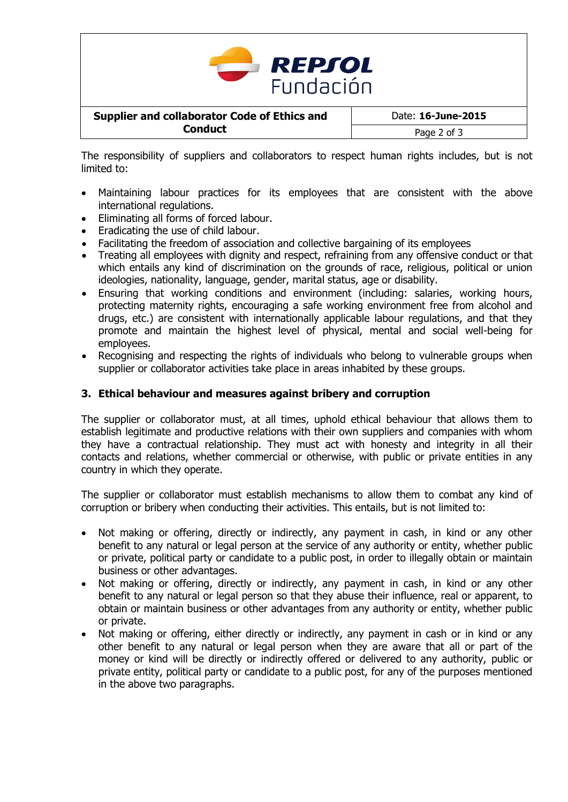

The responsibility of suppliers and collaborators to respect human rights includes, but is not limited to:

- Maintaining labour practices for its employees that are consistent with the above international regulations.
- Eliminating all forms of forced labour.
- Eradicating the use of child labour.
- Facilitating the freedom of association and collective bargaining of its employees
- Treating all employees with dignity and respect, refraining from any offensive conduct or that which entails any kind of discrimination on the grounds of race, religious, political or union ideologies, nationality, language, gender, marital status, age or disability.
- Ensuring that working conditions and environment (including: salaries, working hours, protecting maternity rights, encouraging a safe working environment free from alcohol and drugs, etc.) are consistent with internationally applicable labour regulations, and that they promote and maintain the highest level of physical, mental and social well-being for employees.
- Recognising and respecting the rights of individuals who belong to vulnerable groups when supplier or collaborator activities take place in areas inhabited by these groups.

### **3. Ethical behaviour and measures against bribery and corruption**

The supplier or collaborator must, at all times, uphold ethical behaviour that allows them to establish legitimate and productive relations with their own suppliers and companies with whom they have a contractual relationship. They must act with honesty and integrity in all their contacts and relations, whether commercial or otherwise, with public or private entities in any country in which they operate.

The supplier or collaborator must establish mechanisms to allow them to combat any kind of corruption or bribery when conducting their activities. This entails, but is not limited to:

- Not making or offering, directly or indirectly, any payment in cash, in kind or any other benefit to any natural or legal person at the service of any authority or entity, whether public or private, political party or candidate to a public post, in order to illegally obtain or maintain business or other advantages.
- Not making or offering, directly or indirectly, any payment in cash, in kind or any other benefit to any natural or legal person so that they abuse their influence, real or apparent, to obtain or maintain business or other advantages from any authority or entity, whether public or private.
- Not making or offering, either directly or indirectly, any payment in cash or in kind or any other benefit to any natural or legal person when they are aware that all or part of the money or kind will be directly or indirectly offered or delivered to any authority, public or private entity, political party or candidate to a public post, for any of the purposes mentioned in the above two paragraphs.